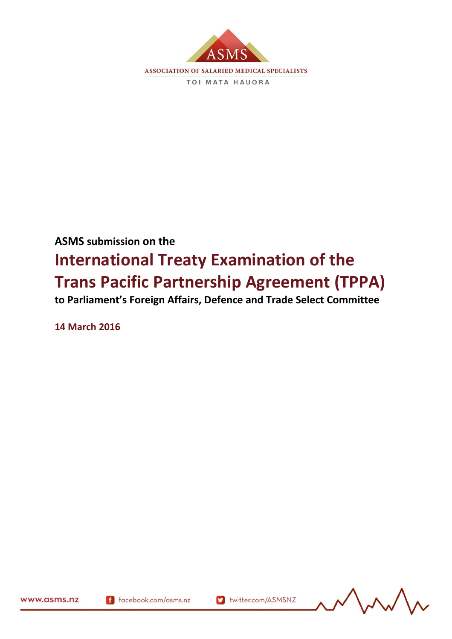

# **ASMS submission on the International Treaty Examination of the Trans Pacific Partnership Agreement (TPPA)**

**to Parliament's Foreign Affairs, Defence and Trade Select Committee**

**14 March 2016**

www.asms.nz

(9/5/2) 165450.1

f facebook.com/asms.nz

v twitter.com/ASMSNZ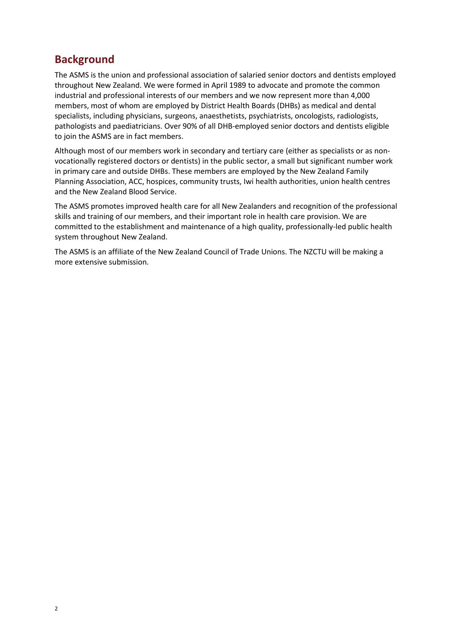### **Background**

The ASMS is the union and professional association of salaried senior doctors and dentists employed throughout New Zealand. We were formed in April 1989 to advocate and promote the common industrial and professional interests of our members and we now represent more than 4,000 members, most of whom are employed by District Health Boards (DHBs) as medical and dental specialists, including physicians, surgeons, anaesthetists, psychiatrists, oncologists, radiologists, pathologists and paediatricians. Over 90% of all DHB-employed senior doctors and dentists eligible to join the ASMS are in fact members.

Although most of our members work in secondary and tertiary care (either as specialists or as nonvocationally registered doctors or dentists) in the public sector, a small but significant number work in primary care and outside DHBs. These members are employed by the New Zealand Family Planning Association, ACC, hospices, community trusts, Iwi health authorities, union health centres and the New Zealand Blood Service.

The ASMS promotes improved health care for all New Zealanders and recognition of the professional skills and training of our members, and their important role in health care provision. We are committed to the establishment and maintenance of a high quality, professionally-led public health system throughout New Zealand.

The ASMS is an affiliate of the New Zealand Council of Trade Unions. The NZCTU will be making a more extensive submission.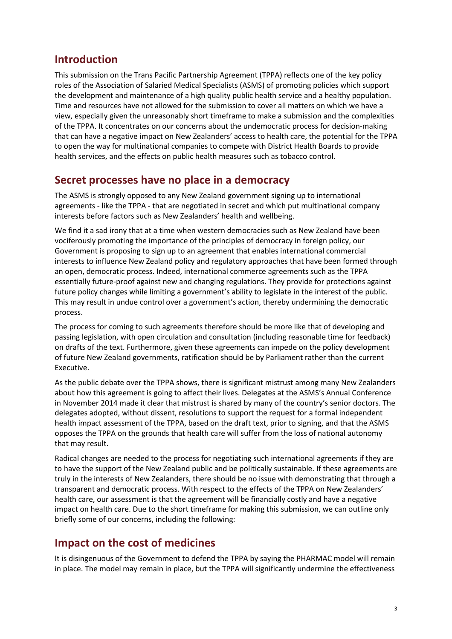### **Introduction**

This submission on the Trans Pacific Partnership Agreement (TPPA) reflects one of the key policy roles of the Association of Salaried Medical Specialists (ASMS) of promoting policies which support the development and maintenance of a high quality public health service and a healthy population. Time and resources have not allowed for the submission to cover all matters on which we have a view, especially given the unreasonably short timeframe to make a submission and the complexities of the TPPA. It concentrates on our concerns about the undemocratic process for decision-making that can have a negative impact on New Zealanders' access to health care, the potential for the TPPA to open the way for multinational companies to compete with District Health Boards to provide health services, and the effects on public health measures such as tobacco control.

#### **Secret processes have no place in a democracy**

The ASMS is strongly opposed to any New Zealand government signing up to international agreements - like the TPPA - that are negotiated in secret and which put multinational company interests before factors such as New Zealanders' health and wellbeing.

We find it a sad irony that at a time when western democracies such as New Zealand have been vociferously promoting the importance of the principles of democracy in foreign policy, our Government is proposing to sign up to an agreement that enables international commercial interests to influence New Zealand policy and regulatory approaches that have been formed through an open, democratic process. Indeed, international commerce agreements such as the TPPA essentially future-proof against new and changing regulations. They provide for protections against future policy changes while limiting a government's ability to legislate in the interest of the public. This may result in undue control over a government's action, thereby undermining the democratic process.

The process for coming to such agreements therefore should be more like that of developing and passing legislation, with open circulation and consultation (including reasonable time for feedback) on drafts of the text. Furthermore, given these agreements can impede on the policy development of future New Zealand governments, ratification should be by Parliament rather than the current Executive.

As the public debate over the TPPA shows, there is significant mistrust among many New Zealanders about how this agreement is going to affect their lives. Delegates at the ASMS's Annual Conference in November 2014 made it clear that mistrust is shared by many of the country's senior doctors. The delegates adopted, without dissent, resolutions to support the request for a formal independent health impact assessment of the TPPA, based on the draft text, prior to signing, and that the ASMS opposes the TPPA on the grounds that health care will suffer from the loss of national autonomy that may result.

Radical changes are needed to the process for negotiating such international agreements if they are to have the support of the New Zealand public and be politically sustainable. If these agreements are truly in the interests of New Zealanders, there should be no issue with demonstrating that through a transparent and democratic process. With respect to the effects of the TPPA on New Zealanders' health care, our assessment is that the agreement will be financially costly and have a negative impact on health care. Due to the short timeframe for making this submission, we can outline only briefly some of our concerns, including the following:

#### **Impact on the cost of medicines**

It is disingenuous of the Government to defend the TPPA by saying the PHARMAC model will remain in place. The model may remain in place, but the TPPA will significantly undermine the effectiveness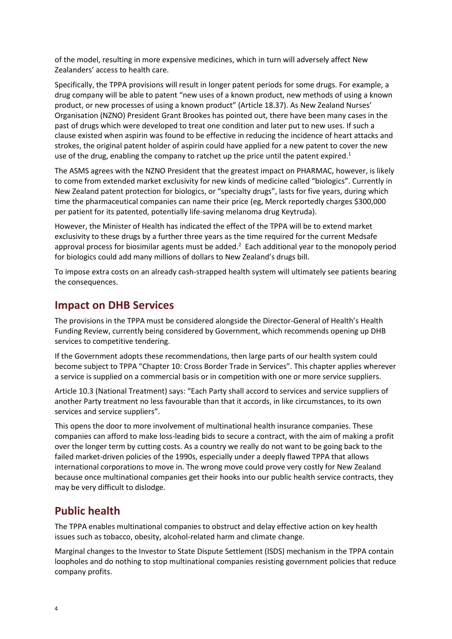of the model, resulting in more expensive medicines, which in turn will adversely affect New Zealanders' access to health care.

Specifically, the TPPA provisions will result in longer patent periods for some drugs. For example, a drug company will be able to patent "new uses of a known product, new methods of using a known product, or new processes of using a known product" (Article 18.37). As New Zealand Nurses' Organisation (NZNO) President Grant Brookes has pointed out, there have been many cases in the past of drugs which were developed to treat one condition and later put to new uses. If such a clause existed when aspirin was found to be effective in reducing the incidence of heart attacks and strokes, the original patent holder of aspirin could have applied for a new patent to cover the new use of the drug, enabling the company to ratchet up the price until the patent expired. $1$ 

The ASMS agrees with the NZNO President that the greatest impact on PHARMAC, however, is likely to come from extended market exclusivity for new kinds of medicine called "biologics". Currently in New Zealand patent protection for biologics, or "specialty drugs", lasts for five years, during which time the pharmaceutical companies can name their price (eg, Merck reportedly charges \$300,000 per patient for its patented, potentially life-saving melanoma drug Keytruda).

However, the Minister of Health has indicated the effect of the TPPA will be to extend market exclusivity to these drugs by a further three years as the time required for the current Medsafe approval process for biosimilar agents must be added.<sup>2</sup> Each additional year to the monopoly period for biologics could add many millions of dollars to New Zealand's drugs bill.

To impose extra costs on an already cash-strapped health system will ultimately see patients bearing the consequences.

#### **Impact on DHB Services**

The provisions in the TPPA must be considered alongside the Director-General of Health's Health Funding Review, currently being considered by Government, which recommends opening up DHB services to competitive tendering.

If the Government adopts these recommendations, then large parts of our health system could become subject to TPPA "Chapter 10: Cross Border Trade in Services". This chapter applies wherever a service is supplied on a commercial basis or in competition with one or more service suppliers.

Article 10.3 (National Treatment) says: "Each Party shall accord to services and service suppliers of another Party treatment no less favourable than that it accords, in like circumstances, to its own services and service suppliers".

This opens the door to more involvement of multinational health insurance companies. These companies can afford to make loss-leading bids to secure a contract, with the aim of making a profit over the longer term by cutting costs. As a country we really do not want to be going back to the failed market-driven policies of the 1990s, especially under a deeply flawed TPPA that allows international corporations to move in. The wrong move could prove very costly for New Zealand because once multinational companies get their hooks into our public health service contracts, they may be very difficult to dislodge.

#### **Public health**

The TPPA enables multinational companies to obstruct and delay effective action on key health issues such as tobacco, obesity, alcohol-related harm and climate change.

Marginal changes to the Investor to State Dispute Settlement (ISDS) mechanism in the TPPA contain loopholes and do nothing to stop multinational companies resisting government policies that reduce company profits.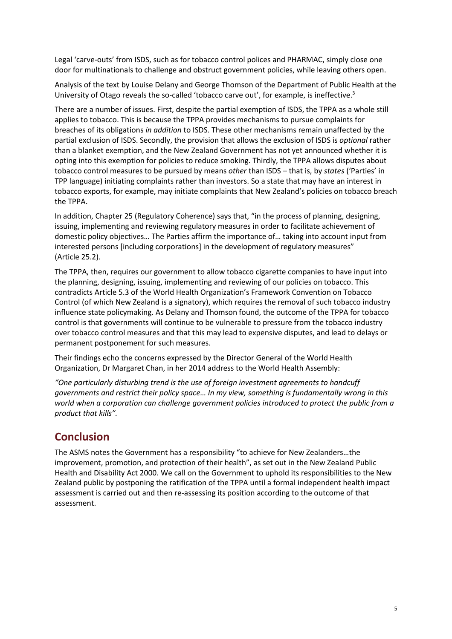Legal 'carve-outs' from ISDS, such as for tobacco control polices and PHARMAC, simply close one door for multinationals to challenge and obstruct government policies, while leaving others open.

Analysis of the text by Louise Delany and George Thomson of the Department of Public Health at the University of Otago reveals the so-called 'tobacco carve out', for example, is ineffective.<sup>3</sup>

There are a number of issues. First, despite the partial exemption of ISDS, the TPPA as a whole still applies to tobacco. This is because the TPPA provides mechanisms to pursue complaints for breaches of its obligations *in addition* to ISDS. These other mechanisms remain unaffected by the partial exclusion of ISDS. Secondly, the provision that allows the exclusion of ISDS is *optional* rather than a blanket exemption, and the New Zealand Government has not yet announced whether it is opting into this exemption for policies to reduce smoking. Thirdly, the TPPA allows disputes about tobacco control measures to be pursued by means *other* than ISDS – that is, by *states* ('Parties' in TPP language) initiating complaints rather than investors. So a state that may have an interest in tobacco exports, for example, may initiate complaints that New Zealand's policies on tobacco breach the TPPA.

In addition, Chapter 25 (Regulatory Coherence) says that, "in the process of planning, designing, issuing, implementing and reviewing regulatory measures in order to facilitate achievement of domestic policy objectives… The Parties affirm the importance of… taking into account input from interested persons [including corporations] in the development of regulatory measures" (Article 25.2).

The TPPA, then, requires our government to allow tobacco cigarette companies to have input into the planning, designing, issuing, implementing and reviewing of our policies on tobacco. This contradicts Article 5.3 of the World Health Organization's Framework Convention on Tobacco Control (of which New Zealand is a signatory), which requires the removal of such tobacco industry influence state policymaking. As Delany and Thomson found, the outcome of the TPPA for tobacco control is that governments will continue to be vulnerable to pressure from the tobacco industry over tobacco control measures and that this may lead to expensive disputes, and lead to delays or permanent postponement for such measures.

Their findings echo the concerns expressed by the Director General of the World Health Organization, Dr Margaret Chan, in her 2014 address to the World Health Assembly:

*"One particularly disturbing trend is the use of foreign investment agreements to handcuff governments and restrict their policy space… In my view, something is fundamentally wrong in this world when a corporation can challenge government policies introduced to protect the public from a product that kills".*

## **Conclusion**

The ASMS notes the Government has a responsibility "to achieve for New Zealanders…the improvement, promotion, and protection of their health", as set out in the New Zealand Public Health and Disability Act 2000. We call on the Government to uphold its responsibilities to the New Zealand public by postponing the ratification of the TPPA until a formal independent health impact assessment is carried out and then re-assessing its position according to the outcome of that assessment.